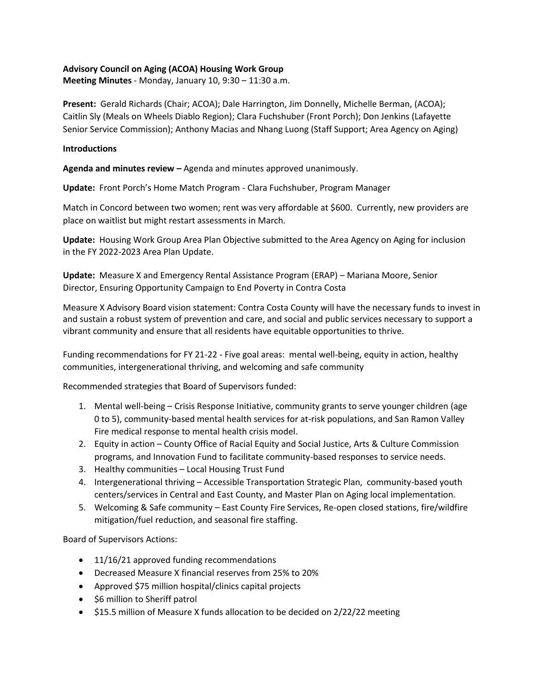## **Advisory Council on Aging (ACOA) Housing Work Group**

**Meeting Minutes** - Monday, January 10, 9:30 – 11:30 a.m.

**Present:** Gerald Richards (Chair; ACOA); Dale Harrington, Jim Donnelly, Michelle Berman, (ACOA); Caitlin Sly (Meals on Wheels Diablo Region); Clara Fuchshuber (Front Porch); Don Jenkins (Lafayette Senior Service Commission); Anthony Macias and Nhang Luong (Staff Support; Area Agency on Aging)

## **Introductions**

**Agenda and minutes review –** Agenda and minutes approved unanimously.

**Update:** Front Porch's Home Match Program - Clara Fuchshuber, Program Manager

Match in Concord between two women; rent was very affordable at \$600. Currently, new providers are place on waitlist but might restart assessments in March.

**Update:** Housing Work Group Area Plan Objective submitted to the Area Agency on Aging for inclusion in the FY 2022-2023 Area Plan Update.

**Update:** Measure X and Emergency Rental Assistance Program (ERAP) – Mariana Moore, Senior Director, Ensuring Opportunity Campaign to End Poverty in Contra Costa

Measure X Advisory Board vision statement: Contra Costa County will have the necessary funds to invest in and sustain a robust system of prevention and care, and social and public services necessary to support a vibrant community and ensure that all residents have equitable opportunities to thrive.

Funding recommendations for FY 21-22 - Five goal areas: mental well-being, equity in action, healthy communities, intergenerational thriving, and welcoming and safe community

Recommended strategies that Board of Supervisors funded:

- 1. Mental well-being Crisis Response Initiative, community grants to serve younger children (age 0 to 5), community-based mental health services for at-risk populations, and San Ramon Valley Fire medical response to mental health crisis model.
- 2. Equity in action County Office of Racial Equity and Social Justice, Arts & Culture Commission programs, and Innovation Fund to facilitate community-based responses to service needs.
- 3. Healthy communities Local Housing Trust Fund
- 4. Intergenerational thriving Accessible Transportation Strategic Plan, community-based youth centers/services in Central and East County, and Master Plan on Aging local implementation.
- 5. Welcoming & Safe community East County Fire Services, Re-open closed stations, fire/wildfire mitigation/fuel reduction, and seasonal fire staffing.

Board of Supervisors Actions:

- 11/16/21 approved funding recommendations
- Decreased Measure X financial reserves from 25% to 20%
- Approved \$75 million hospital/clinics capital projects
- \$6 million to Sheriff patrol
- \$15.5 million of Measure X funds allocation to be decided on 2/22/22 meeting